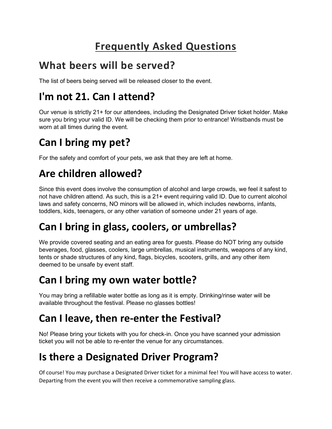# **Frequently Asked Questions**

#### **What beers will be served?**

The list of beers being served will be released closer to the event.

## **I'm not 21. Can I attend?**

Our venue is strictly 21+ for our attendees, including the Designated Driver ticket holder. Make sure you bring your valid ID. We will be checking them prior to entrance! Wristbands must be worn at all times during the event.

# **Can I bring my pet?**

For the safety and comfort of your pets, we ask that they are left at home.

### **Are children allowed?**

Since this event does involve the consumption of alcohol and large crowds, we feel it safest to not have children attend. As such, this is a 21+ event requiring valid ID. Due to current alcohol laws and safety concerns, NO minors will be allowed in, which includes newborns, infants, toddlers, kids, teenagers, or any other variation of someone under 21 years of age.

### **Can I bring in glass, coolers, or umbrellas?**

We provide covered seating and an eating area for guests. Please do NOT bring any outside beverages, food, glasses, coolers, large umbrellas, musical instruments, weapons of any kind, tents or shade structures of any kind, flags, bicycles, scooters, grills, and any other item deemed to be unsafe by event staff.

#### **Can I bring my own water bottle?**

You may bring a refillable water bottle as long as it is empty. Drinking/rinse water will be available throughout the festival. Please no glasses bottles!

### **Can I leave, then re-enter the Festival?**

No! Please bring your tickets with you for check-in. Once you have scanned your admission ticket you will not be able to re-enter the venue for any circumstances.

### **Is there a Designated Driver Program?**

Of course! You may purchase a Designated Driver ticket for a minimal fee! You will have access to water. Departing from the event you will then receive a commemorative sampling glass.